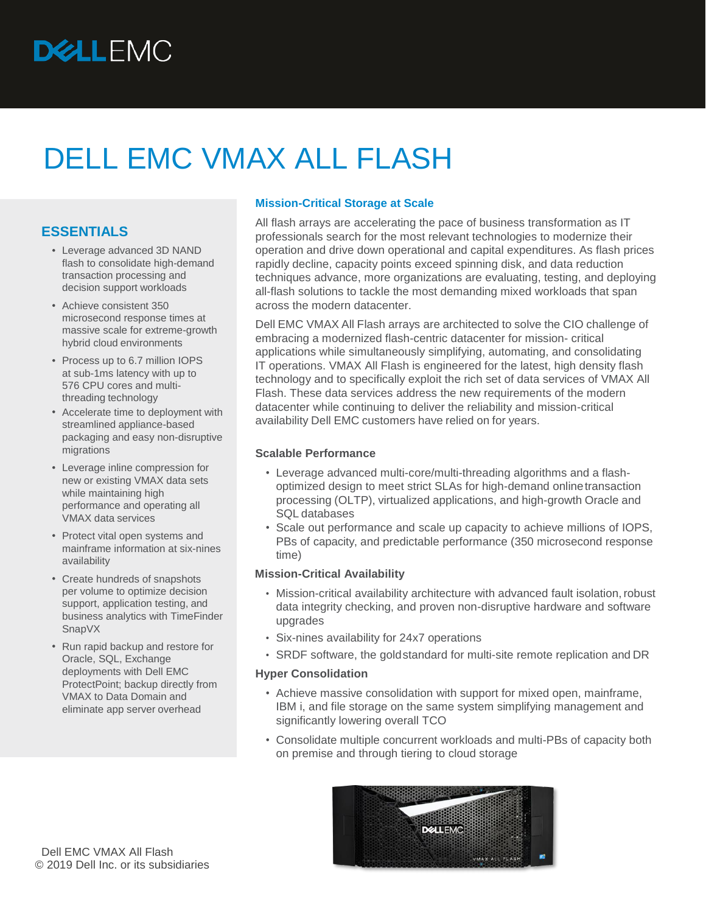# DELL EMC VMAX ALL FLASH

## **ESSENTIALS**

- Leverage advanced 3D NAND flash to consolidate high-demand transaction processing and decision support workloads
- Achieve consistent 350 microsecond response times at massive scale for extreme-growth hybrid cloud environments
- Process up to 6.7 million IOPS at sub-1ms latency with up to 576 CPU cores and multithreading technology
- Accelerate time to deployment with streamlined appliance-based packaging and easy non-disruptive migrations
- Leverage inline compression for new or existing VMAX data sets while maintaining high performance and operating all VMAX data services
- Protect vital open systems and mainframe information at six-nines availability
- Create hundreds of snapshots per volume to optimize decision support, application testing, and business analytics with TimeFinder SnapVX
- Run rapid backup and restore for Oracle, SQL, Exchange deployments with Dell EMC ProtectPoint; backup directly from VMAX to Data Domain and eliminate app server overhead

## **Mission-Critical Storage at Scale**

All flash arrays are accelerating the pace of business transformation as IT professionals search for the most relevant technologies to modernize their operation and drive down operational and capital expenditures. As flash prices rapidly decline, capacity points exceed spinning disk, and data reduction techniques advance, more organizations are evaluating, testing, and deploying all-flash solutions to tackle the most demanding mixed workloads that span across the modern datacenter.

Dell EMC VMAX All Flash arrays are architected to solve the CIO challenge of embracing a modernized flash-centric datacenter for mission- critical applications while simultaneously simplifying, automating, and consolidating IT operations. VMAX All Flash is engineered for the latest, high density flash technology and to specifically exploit the rich set of data services of VMAX All Flash. These data services address the new requirements of the modern datacenter while continuing to deliver the reliability and mission-critical availability Dell EMC customers have relied on for years.

## **Scalable Performance**

- Leverage advanced multi-core/multi-threading algorithms and a flashoptimized design to meet strict SLAs for high-demand onlinetransaction processing (OLTP), virtualized applications, and high-growth Oracle and SQL databases
- Scale out performance and scale up capacity to achieve millions of IOPS, PBs of capacity, and predictable performance (350 microsecond response time)

## **Mission-Critical Availability**

- Mission-critical availability architecture with advanced fault isolation,robust data integrity checking, and proven non-disruptive hardware and software upgrades
- Six-nines availability for 24x7 operations
- SRDF software, the goldstandard for multi-site remote replication and DR

## **Hyper Consolidation**

- Achieve massive consolidation with support for mixed open, mainframe, IBM i, and file storage on the same system simplifying management and significantly lowering overall TCO
- Consolidate multiple concurrent workloads and multi-PBs of capacity both on premise and through tiering to cloud storage

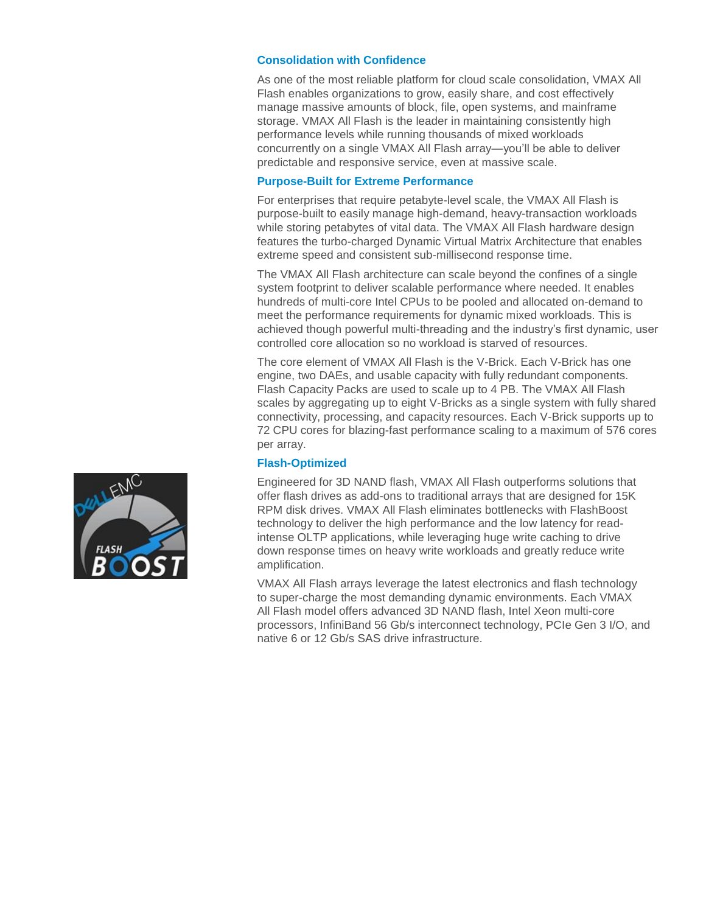## **Consolidation with Confidence**

As one of the most reliable platform for cloud scale consolidation, VMAX All Flash enables organizations to grow, easily share, and cost effectively manage massive amounts of block, file, open systems, and mainframe storage. VMAX All Flash is the leader in maintaining consistently high performance levels while running thousands of mixed workloads concurrently on a single VMAX All Flash array—you'll be able to deliver predictable and responsive service, even at massive scale.

#### **Purpose-Built for Extreme Performance**

For enterprises that require petabyte-level scale, the VMAX All Flash is purpose-built to easily manage high-demand, heavy-transaction workloads while storing petabytes of vital data. The VMAX All Flash hardware design features the turbo-charged Dynamic Virtual Matrix Architecture that enables extreme speed and consistent sub-millisecond response time.

The VMAX All Flash architecture can scale beyond the confines of a single system footprint to deliver scalable performance where needed. It enables hundreds of multi-core Intel CPUs to be pooled and allocated on-demand to meet the performance requirements for dynamic mixed workloads. This is achieved though powerful multi-threading and the industry's first dynamic, user controlled core allocation so no workload is starved of resources.

The core element of VMAX All Flash is the V-Brick. Each V-Brick has one engine, two DAEs, and usable capacity with fully redundant components. Flash Capacity Packs are used to scale up to 4 PB. The VMAX All Flash scales by aggregating up to eight V-Bricks as a single system with fully shared connectivity, processing, and capacity resources. Each V-Brick supports up to 72 CPU cores for blazing-fast performance scaling to a maximum of 576 cores per array.

#### **Flash-Optimized**

Engineered for 3D NAND flash, VMAX All Flash outperforms solutions that offer flash drives as add-ons to traditional arrays that are designed for 15K RPM disk drives. VMAX All Flash eliminates bottlenecks with FlashBoost technology to deliver the high performance and the low latency for readintense OLTP applications, while leveraging huge write caching to drive down response times on heavy write workloads and greatly reduce write amplification.

VMAX All Flash arrays leverage the latest electronics and flash technology to super-charge the most demanding dynamic environments. Each VMAX All Flash model offers advanced 3D NAND flash, Intel Xeon multi-core processors, InfiniBand 56 Gb/s interconnect technology, PCIe Gen 3 I/O, and native 6 or 12 Gb/s SAS drive infrastructure.

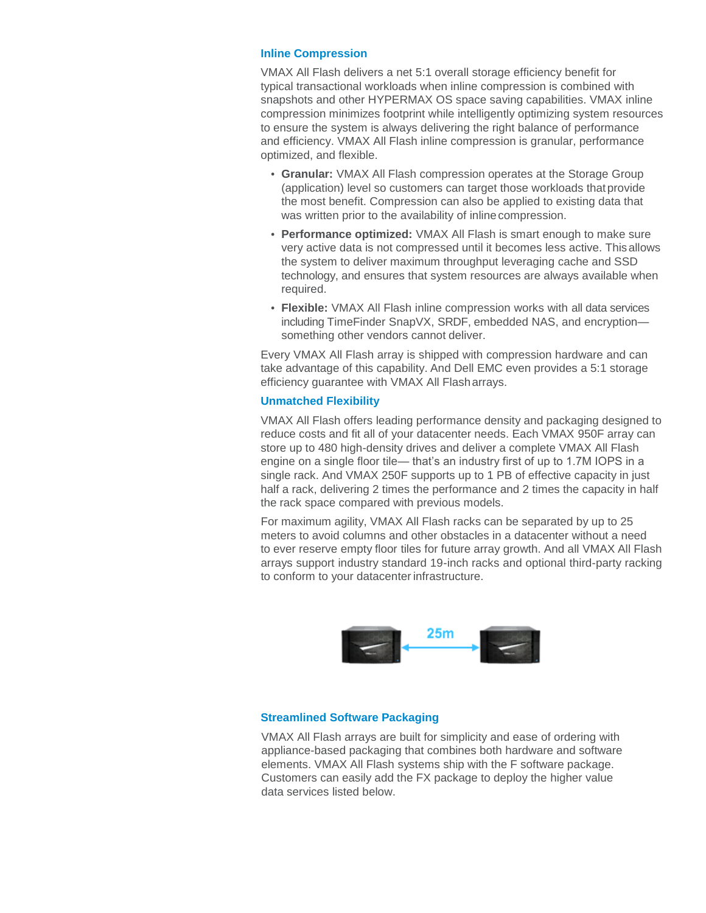#### **Inline Compression**

VMAX All Flash delivers a net 5:1 overall storage efficiency benefit for typical transactional workloads when inline compression is combined with snapshots and other HYPERMAX OS space saving capabilities. VMAX inline compression minimizes footprint while intelligently optimizing system resources to ensure the system is always delivering the right balance of performance and efficiency. VMAX All Flash inline compression is granular, performance optimized, and flexible.

- **• Granular:** VMAX All Flash compression operates at the Storage Group (application) level so customers can target those workloads that provide the most benefit. Compression can also be applied to existing data that was written prior to the availability of inlinecompression.
- **• Performance optimized:** VMAX All Flash is smart enough to make sure very active data is not compressed until it becomes less active. Thisallows the system to deliver maximum throughput leveraging cache and SSD technology, and ensures that system resources are always available when required.
- **• Flexible:** VMAX All Flash inline compression works with all data services including TimeFinder SnapVX, SRDF, embedded NAS, and encryption something other vendors cannot deliver.

Every VMAX All Flash array is shipped with compression hardware and can take advantage of this capability. And Dell EMC even provides a 5:1 storage efficiency guarantee with VMAX All Flasharrays.

#### **Unmatched Flexibility**

VMAX All Flash offers leading performance density and packaging designed to reduce costs and fit all of your datacenter needs. Each VMAX 950F array can store up to 480 high-density drives and deliver a complete VMAX All Flash engine on a single floor tile— that's an industry first of up to 1.7M IOPS in a single rack. And VMAX 250F supports up to 1 PB of effective capacity in just half a rack, delivering 2 times the performance and 2 times the capacity in half the rack space compared with previous models.

For maximum agility, VMAX All Flash racks can be separated by up to 25 meters to avoid columns and other obstacles in a datacenter without a need to ever reserve empty floor tiles for future array growth. And all VMAX All Flash arrays support industry standard 19-inch racks and optional third-party racking to conform to your datacenter infrastructure.



#### **Streamlined Software Packaging**

VMAX All Flash arrays are built for simplicity and ease of ordering with appliance-based packaging that combines both hardware and software elements. VMAX All Flash systems ship with the F software package. Customers can easily add the FX package to deploy the higher value data services listed below.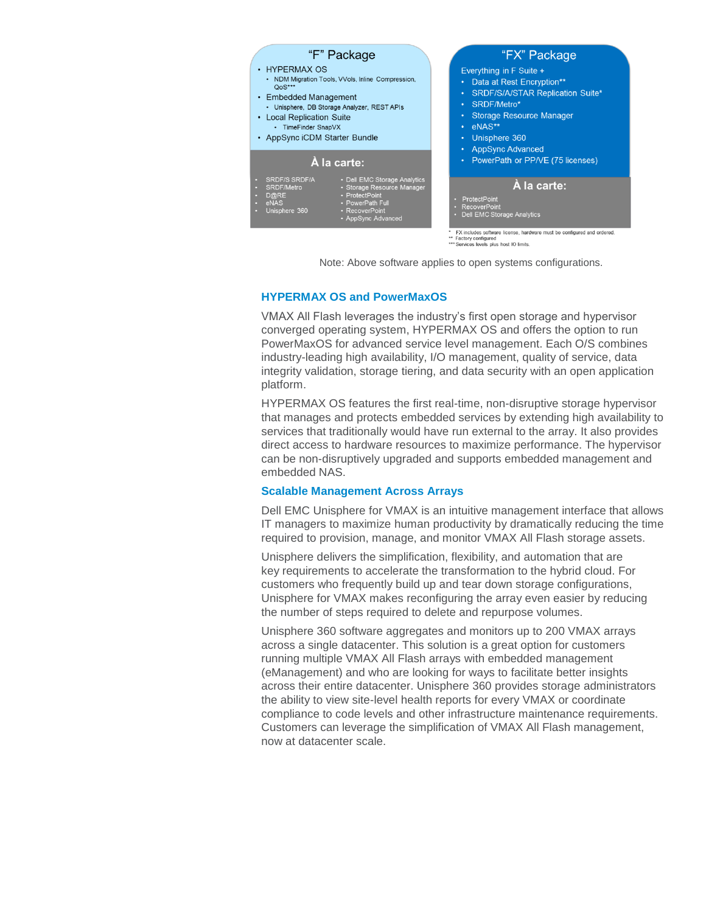

Note: Above software applies to open systems configurations.

#### **HYPERMAX OS and PowerMaxOS**

VMAX All Flash leverages the industry's first open storage and hypervisor converged operating system, HYPERMAX OS and offers the option to run PowerMaxOS for advanced service level management. Each O/S combines industry-leading high availability, I/O management, quality of service, data integrity validation, storage tiering, and data security with an open application platform.

HYPERMAX OS features the first real-time, non-disruptive storage hypervisor that manages and protects embedded services by extending high availability to services that traditionally would have run external to the array. It also provides direct access to hardware resources to maximize performance. The hypervisor can be non-disruptively upgraded and supports embedded management and embedded NAS.

#### **Scalable Management Across Arrays**

Dell EMC Unisphere for VMAX is an intuitive management interface that allows IT managers to maximize human productivity by dramatically reducing the time required to provision, manage, and monitor VMAX All Flash storage assets.

Unisphere delivers the simplification, flexibility, and automation that are key requirements to accelerate the transformation to the hybrid cloud. For customers who frequently build up and tear down storage configurations, Unisphere for VMAX makes reconfiguring the array even easier by reducing the number of steps required to delete and repurpose volumes.

Unisphere 360 software aggregates and monitors up to 200 VMAX arrays across a single datacenter. This solution is a great option for customers running multiple VMAX All Flash arrays with embedded management (eManagement) and who are looking for ways to facilitate better insights across their entire datacenter. Unisphere 360 provides storage administrators the ability to view site-level health reports for every VMAX or coordinate compliance to code levels and other infrastructure maintenance requirements. Customers can leverage the simplification of VMAX All Flash management, now at datacenter scale.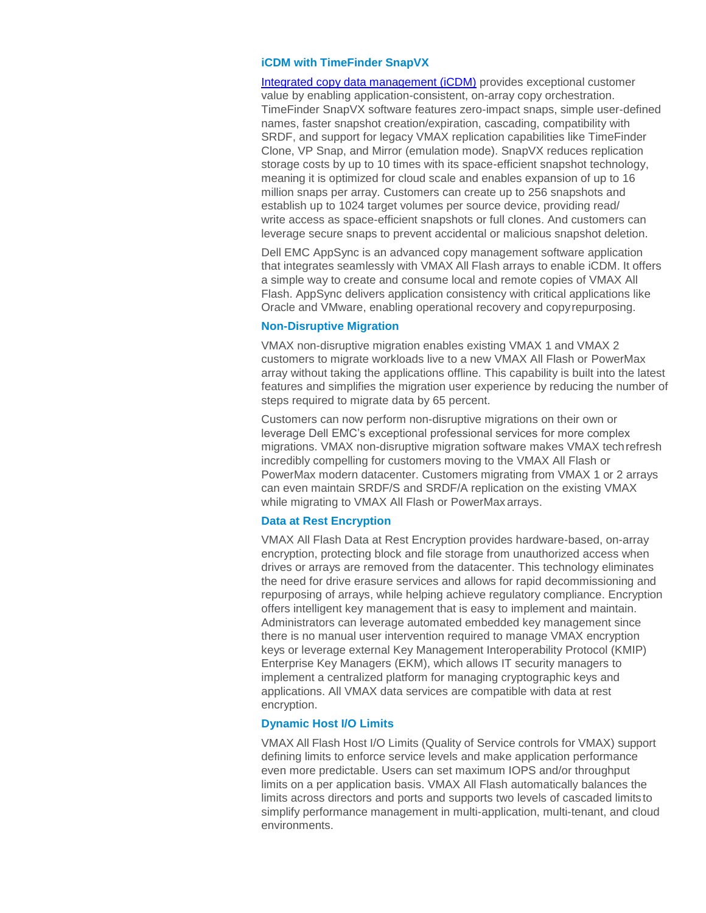#### **iCDM with TimeFinder SnapVX**

[Integrated copy data management \(iCDM\)](https://www.emc.com/corporate/glossary/integrated-copy-data-management.htm) provides exceptional customer value by enabling application-consistent, on-array copy orchestration. TimeFinder SnapVX software features zero-impact snaps, simple user-defined names, faster snapshot creation/expiration, cascading, compatibility with SRDF, and support for legacy VMAX replication capabilities like TimeFinder Clone, VP Snap, and Mirror (emulation mode). SnapVX reduces replication storage costs by up to 10 times with its space-efficient snapshot technology, meaning it is optimized for cloud scale and enables expansion of up to 16 million snaps per array. Customers can create up to 256 snapshots and establish up to 1024 target volumes per source device, providing read/ write access as space-efficient snapshots or full clones. And customers can leverage secure snaps to prevent accidental or malicious snapshot deletion.

Dell EMC AppSync is an advanced copy management software application that integrates seamlessly with VMAX All Flash arrays to enable iCDM. It offers a simple way to create and consume local and remote copies of VMAX All Flash. AppSync delivers application consistency with critical applications like Oracle and VMware, enabling operational recovery and copyrepurposing.

#### **Non-Disruptive Migration**

VMAX non-disruptive migration enables existing VMAX 1 and VMAX 2 customers to migrate workloads live to a new VMAX All Flash or PowerMax array without taking the applications offline. This capability is built into the latest features and simplifies the migration user experience by reducing the number of steps required to migrate data by 65 percent.

Customers can now perform non-disruptive migrations on their own or leverage Dell EMC's exceptional professional services for more complex migrations. VMAX non-disruptive migration software makes VMAX techrefresh incredibly compelling for customers moving to the VMAX All Flash or PowerMax modern datacenter. Customers migrating from VMAX 1 or 2 arrays can even maintain SRDF/S and SRDF/A replication on the existing VMAX while migrating to VMAX All Flash or PowerMax arrays.

#### **Data at Rest Encryption**

VMAX All Flash Data at Rest Encryption provides hardware-based, on-array encryption, protecting block and file storage from unauthorized access when drives or arrays are removed from the datacenter. This technology eliminates the need for drive erasure services and allows for rapid decommissioning and repurposing of arrays, while helping achieve regulatory compliance. Encryption offers intelligent key management that is easy to implement and maintain. Administrators can leverage automated embedded key management since there is no manual user intervention required to manage VMAX encryption keys or leverage external Key Management Interoperability Protocol (KMIP) Enterprise Key Managers (EKM), which allows IT security managers to implement a centralized platform for managing cryptographic keys and applications. All VMAX data services are compatible with data at rest encryption.

#### **Dynamic Host I/O Limits**

VMAX All Flash Host I/O Limits (Quality of Service controls for VMAX) support defining limits to enforce service levels and make application performance even more predictable. Users can set maximum IOPS and/or throughput limits on a per application basis. VMAX All Flash automatically balances the limits across directors and ports and supports two levels of cascaded limitsto simplify performance management in multi-application, multi-tenant, and cloud environments.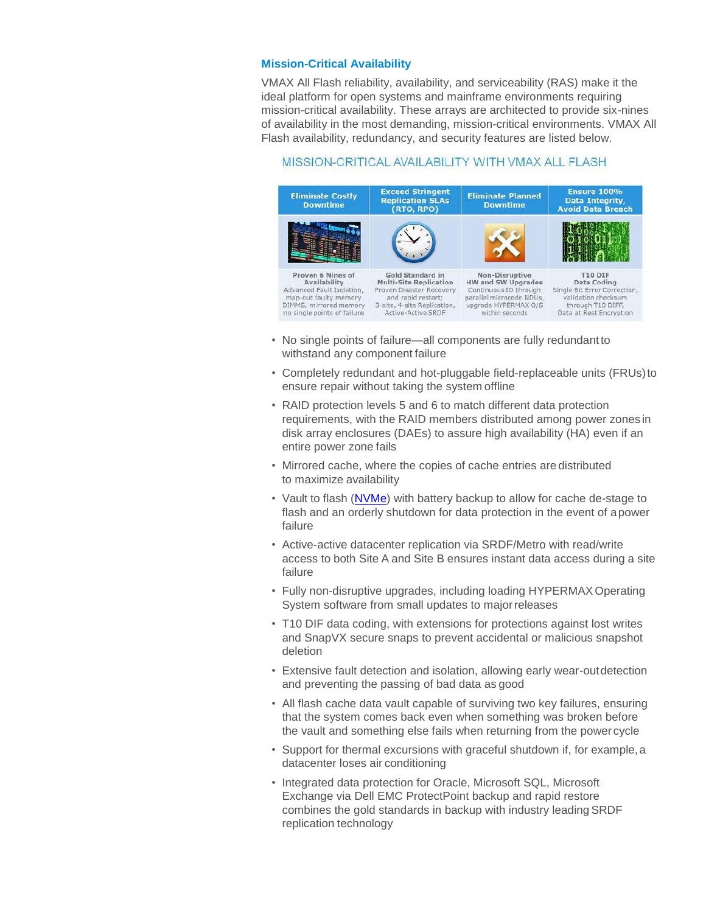## **Mission-Critical Availability**

VMAX All Flash reliability, availability, and serviceability (RAS) make it the ideal platform for open systems and mainframe environments requiring mission-critical availability. These arrays are architected to provide six-nines of availability in the most demanding, mission-critical environments. VMAX All Flash availability, redundancy, and security features are listed below.

## MISSION-CRITICAL AVAILABILITY WITH VMAX ALL FLASH

![](_page_5_Figure_3.jpeg)

- No single points of failure—all components are fully redundant to withstand any component failure
- Completely redundant and hot-pluggable field-replaceable units (FRUs)to ensure repair without taking the system offline
- RAID protection levels 5 and 6 to match different data protection requirements, with the RAID members distributed among power zones in disk array enclosures (DAEs) to assure high availability (HA) even if an entire power zone fails
- Mirrored cache, where the copies of cache entries are distributed to maximize availability
- Vault to flash [\(NVMe\)](https://www.emc.com/corporate/glossary/nvme.htm) with battery backup to allow for cache de-stage to flash and an orderly shutdown for data protection in the event of apower failure
- Active-active datacenter replication via SRDF/Metro with read/write access to both Site A and Site B ensures instant data access during a site failure
- Fully non-disruptive upgrades, including loading HYPERMAX Operating System software from small updates to major releases
- T10 DIF data coding, with extensions for protections against lost writes and SnapVX secure snaps to prevent accidental or malicious snapshot deletion
- Extensive fault detection and isolation, allowing early wear-outdetection and preventing the passing of bad data as good
- All flash cache data vault capable of surviving two key failures, ensuring that the system comes back even when something was broken before the vault and something else fails when returning from the power cycle
- Support for thermal excursions with graceful shutdown if, for example, a datacenter loses air conditioning
- Integrated data protection for Oracle, Microsoft SQL, Microsoft Exchange via Dell EMC ProtectPoint backup and rapid restore combines the gold standards in backup with industry leading SRDF replication technology